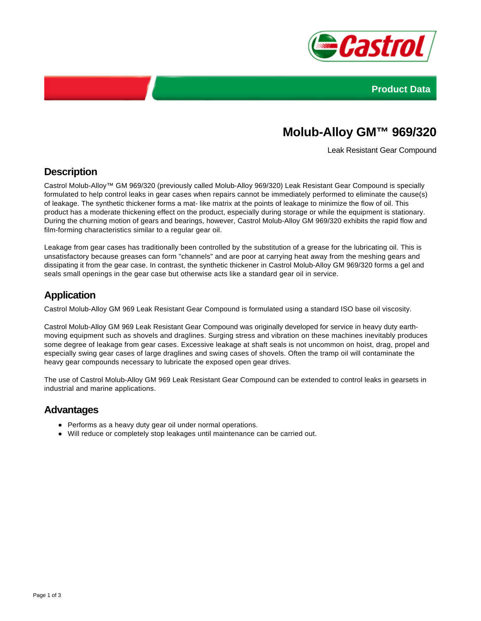



# **Molub-Alloy GM™ 969/320**

Leak Resistant Gear Compound

## **Description**

Castrol Molub-Alloy™ GM 969/320 (previously called Molub-Alloy 969/320) Leak Resistant Gear Compound is specially formulated to help control leaks in gear cases when repairs cannot be immediately performed to eliminate the cause(s) of leakage. The synthetic thickener forms a mat- like matrix at the points of leakage to minimize the flow of oil. This product has a moderate thickening effect on the product, especially during storage or while the equipment is stationary. During the churning motion of gears and bearings, however, Castrol Molub-Alloy GM 969/320 exhibits the rapid flow and film-forming characteristics similar to a regular gear oil.

Leakage from gear cases has traditionally been controlled by the substitution of a grease for the lubricating oil. This is unsatisfactory because greases can form "channels" and are poor at carrying heat away from the meshing gears and dissipating it from the gear case. In contrast, the synthetic thickener in Castrol Molub-Alloy GM 969/320 forms a gel and seals small openings in the gear case but otherwise acts like a standard gear oil in service.

## **Application**

Castrol Molub-Alloy GM 969 Leak Resistant Gear Compound is formulated using a standard ISO base oil viscosity.

Castrol Molub-Alloy GM 969 Leak Resistant Gear Compound was originally developed for service in heavy duty earthmoving equipment such as shovels and draglines. Surging stress and vibration on these machines inevitably produces some degree of leakage from gear cases. Excessive leakage at shaft seals is not uncommon on hoist, drag, propel and especially swing gear cases of large draglines and swing cases of shovels. Often the tramp oil will contaminate the heavy gear compounds necessary to lubricate the exposed open gear drives.

The use of Castrol Molub-Alloy GM 969 Leak Resistant Gear Compound can be extended to control leaks in gearsets in industrial and marine applications.

### **Advantages**

- Performs as a heavy duty gear oil under normal operations.
- Will reduce or completely stop leakages until maintenance can be carried out.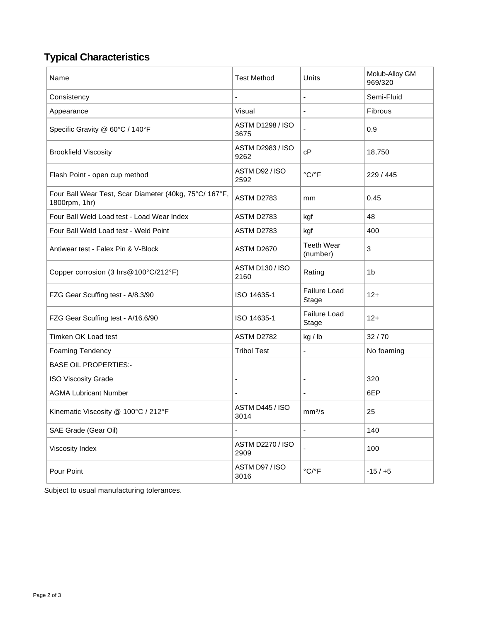## **Typical Characteristics**

| Name                                                                    | <b>Test Method</b>              | Units                         | Molub-Alloy GM<br>969/320 |
|-------------------------------------------------------------------------|---------------------------------|-------------------------------|---------------------------|
| Consistency                                                             | $\blacksquare$                  | $\qquad \qquad \blacksquare$  | Semi-Fluid                |
| Appearance                                                              | Visual                          | ä,                            | Fibrous                   |
| Specific Gravity @ 60°C / 140°F                                         | <b>ASTM D1298 / ISO</b><br>3675 |                               | 0.9                       |
| <b>Brookfield Viscosity</b>                                             | <b>ASTM D2983 / ISO</b><br>9262 | cP                            | 18,750                    |
| Flash Point - open cup method                                           | ASTM D92 / ISO<br>2592          | $^{\circ}$ C/ $^{\circ}$ F    | 229 / 445                 |
| Four Ball Wear Test, Scar Diameter (40kg, 75°C/ 167°F,<br>1800rpm, 1hr) | ASTM D2783                      | mm                            | 0.45                      |
| Four Ball Weld Load test - Load Wear Index                              | ASTM D2783                      | kgf                           | 48                        |
| Four Ball Weld Load test - Weld Point                                   | ASTM D2783                      | kgf                           | 400                       |
| Antiwear test - Falex Pin & V-Block                                     | <b>ASTM D2670</b>               | <b>Teeth Wear</b><br>(number) | 3                         |
| Copper corrosion (3 hrs@100°C/212°F)                                    | ASTM D130 / ISO<br>2160         | Rating                        | 1b                        |
| FZG Gear Scuffing test - A/8.3/90                                       | ISO 14635-1                     | <b>Failure Load</b><br>Stage  | $12+$                     |
| FZG Gear Scuffing test - A/16.6/90                                      | ISO 14635-1                     | Failure Load<br>Stage         | $12+$                     |
| Timken OK Load test                                                     | ASTM D2782                      | kg / lb                       | 32/70                     |
| Foaming Tendency                                                        | <b>Tribol Test</b>              | ÷,                            | No foaming                |
| <b>BASE OIL PROPERTIES:-</b>                                            |                                 |                               |                           |
| <b>ISO Viscosity Grade</b>                                              | $\blacksquare$                  | $\overline{\phantom{a}}$      | 320                       |
| <b>AGMA Lubricant Number</b>                                            |                                 | $\overline{\phantom{m}}$      | 6EP                       |
| Kinematic Viscosity @ 100°C / 212°F                                     | ASTM D445 / ISO<br>3014         | mm <sup>2</sup> /s            | 25                        |
| SAE Grade (Gear Oil)                                                    | $\blacksquare$                  |                               | 140                       |
| Viscosity Index                                                         | <b>ASTM D2270 / ISO</b><br>2909 | ä,                            | 100                       |
| Pour Point                                                              | ASTM D97 / ISO<br>3016          | $^{\circ}$ C/ $^{\circ}$ F    | $-15/ +5$                 |

Subject to usual manufacturing tolerances.